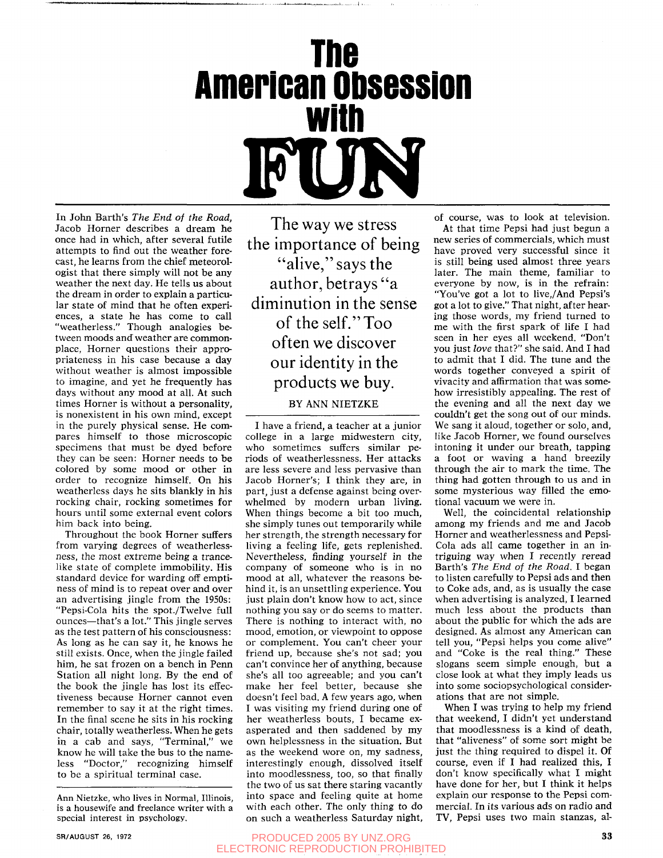## **The American Obsession With**  $\blacksquare$

In John Barth's *The End of the Road*,<br>Jacob Horner describes a dream he<br>once had in which, after several futile<br>attempts to find out the weather fore-<br>cast, he learns from the chief meteorol-<br>ogist that there simply will Jacob Horner describes a dream he once had in which, after several futile attempts to find out the weather forecast, he learns from the chief meteorologist that there simply will not be any weather the next day. He tells us about the dream in order to explain a particular state of mind that he often experiences, a state he has come to call "weatherless." Though analogies between moods and weather are commonplace, Horner questions their appropriateness in his case because a day without weather is almost impossible to imagine, and yet he frequently has days without any mood at all. At such times Horner is without a personality, is nonexistent in his own mind, except in the purely physical sense. He compares himself to those microscopic specimens that must be dyed before they can be seen: Horner needs to be colored by some mood or other in order to recognize himself. On his weatherless days he sits blankly in his rocking chair, rocking sometimes for hocking chair, focking sometimes for hours until some external

Throughout the book Horner suffers from varying degrees of weatherlessness, the most extreme being a trancelike state of complete immobility. His standard device for warding off emptiness of mind is to repeat over and over an advertising jingle from the 1950s: "Pepsi-Cola hits the spot./Twelve full ounces—that's a lot." This jingle serves as the test pattern of his consciousness: As long as he can say it, he knows he still exists. Once, when the jingle failed him, he sat frozen on a bench in Penn Station all night long. By the end of the book the jingle has lost its effectiveness because Horner cannot even remember to say it at the right times. In the final scene he sits in his rocking chair, totally weatherless. When he gets in a cab and says, "Terminal," we know he will take the bus to the nameless "Doctor," recognizing himself to be a spiritual terminal case.

The way we stress the importance of being "alive," says the author, betrays "a diminution in the sense of the self." Too often we discover our identity in the products we buy.

### BY ANN NIETZKE

I have a friend, a teacher at a junior college in a large midwestern city, who sometimes suffers similar periods of weatherlessness. Her attacks are less severe and less pervasive than Jacob Horner's; I think they are, in part, just a defense against being overwhelmed by modern urban living. When things become a bit too much, she simply tunes out temporarily while her strength, the strength necessary for living a feeling life, gets replenished. Nevertheless, finding yourself in the company of someone who is in no mood at all, whatever the reasons behind it, is an unsettling experience. You just plain don't know how to act, since nothing you say or do seems to matter. There is nothing to interact with, no mood, emotion, or viewpoint to oppose or complement. You can't cheer your friend up, because she's not sad; you can't convince her of anything, because she's all too agreeable; and you can't make her feel better, because she doesn't feel bad. A few years ago, when I was visiting my friend during one of her weatherless bouts, I became exasperated and then saddened by my own helplessness in the situation. But as the weekend wore on, my sadness, as the weekend wore on, my sadiless, interestingly enough, dissolved risen into moodlessness, too, so that finally the two of us sat there staring vacantly into space and feeling quite at home with each other. The only thing to do on such a weatherless Saturday night,

of course, was to look at television. At that time Pepsi had just begun a new series of commercials, which must have proved very successful since it is still being used almost three years later. The main theme, familiar to everyone by now, is in the refrain: "You've got a lot to live,/And Pepsi's got a lot to give." That night, after hearing those words, my friend turned to me with the first spark of life I had seen in her eyes all weekend. "Don't you just *love* that?" she said. And I had to admit that I did. The tune and the words together conveyed a spirit of vivacity and affirmation that was somehow irresistibly appealing. The rest of the evening and all the next day we couldn't get the song out of our minds. We sang it aloud, together or solo, and, like Jacob Horner, we found ourselves intoning it under our breath, tapping a foot or waving a hand breezily through the air to mark the time. The thing had gotten through to us and in some mysterious way filled the emotional vacuum we were in.

Well, the coincidental relationship among my friends and me and Jacob Horner and weatherlessness and Pepsi-Cola ads all came together in an intriguing way when I recently reread Barth's *The End of the Road.* I began to listen carefully to Pepsi ads and then to Coke ads, and, as is usually the case when advertising is analyzed, I learned much less about the products than about the public for which the ads are designed. As almost any American can tell you, "Pepsi helps you come alive" and "Coke is the real thing." These slogans seem simple enough, but a close look at what they imply leads us into some sociopsychological considerations that are not simple.

When I was trying to help my friend that weekend, I didn't yet understand that moodlessness is a kind of death, that "aliveness" of some sort might be just the thing required to dispel it. Of course, even if I had realized this, I don't know specifically what I might have done for her, but I think it helps explain our response to the Pepsi commercial. In its various ads on radio and TV, Pepsi uses two main stanzas, al-

#### PRODUCED 2005 BY UNZ.ORG **33**  ELECTRONIC REPRODUCTION PROHIBITED

Ann Nietzke, who lives in Normal, Illinois, is a housewife and freelance writer with a special interest in psychology.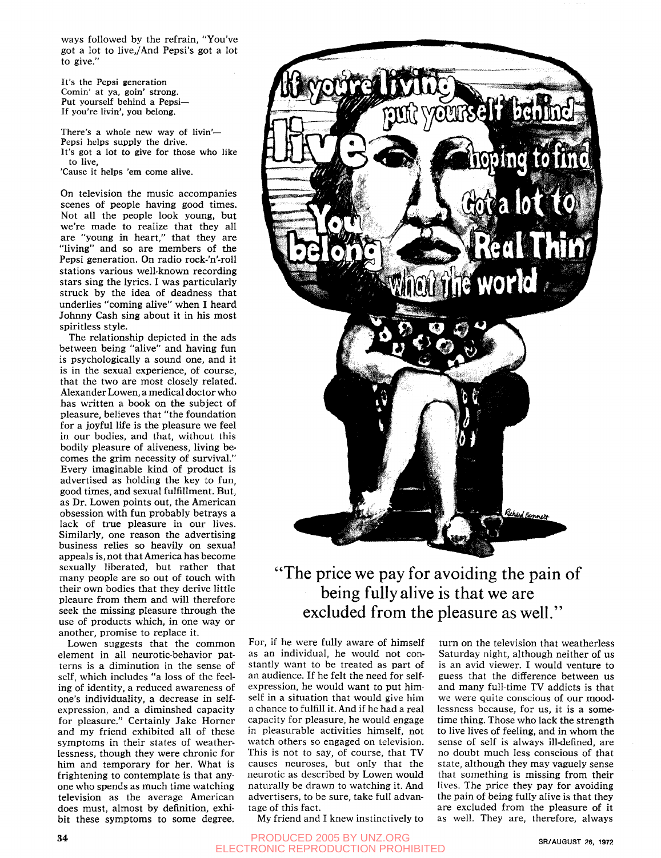ways followed by the refrain, "You've got a lot to live,/And Pepsi's got a lot to give."

It's the Pepsi generation Comin' at ya, goin' strong. Put yourself behind a Pepsi— If you're livin', you belong.

There's a whole new way of livin'— Pepsi helps supply the drive. It's got a lot to give for those who like to live,

'Cause it helps 'em come alive.

On television the music accompanies scenes of people having good times. Not all the people look young, but we're made to realize that they all are "young in heart," that they are "living" and so are members of the Pepsi generation. On radio rock-'n'-roll stations various well-known recording stars sing the lyrics. I was particularly struck by the idea of deadness that underlies "coming alive" when I heard Johnny Cash sing about it in his most spiritless style.

The relationship depicted in the ads between being "alive" and having fun is psychologically a sound one, and it is in the sexual experience, of course, that the two are most closely related. Alexander Lowen, a medical doctor who has written a book on the subject of pleasure, believes that "the foundation for a joyful life is the pleasure we feel in our bodies, and that, without this bodily pleasure of aliveness, living becomes the grim necessity of survival." Every imaginable kind of product is advertised as holding the key to fun, good times, and sexual fulfillment. But, as Dr. Lowen points out, the American obsession with fun probably betrays a lack of true pleasure in our lives. Similarly, one reason the advertising business relies so heavily on sexual appeals is, not that America has become sexually liberated, but rather that many people are so out of touch with their own bodies that they derive little pleaure from them and will therefore seek the missing pleasure through the use of products which, in one way or another, promise to replace it.

Lowen suggests that the common element in all neurotic-behavior patterns is a diminution in the sense of self, which includes "a loss of the feeling of identity, a reduced awareness of one's individuality, a decrease in selfexpression, and a diminshed capacity for pleasure." Certainly Jake Horner and my friend exhibited all of these symptoms in their states of weatherlessness, though they were chronic for him and temporary for her. What is frightening to contemplate is that anyone who spends as much time watching television as the average American does must, almost by definition, exhibit these symptoms to some degree.



## "The price we pay for avoiding the pain of being fully alive is that we are excluded from the pleasure as well."

For, if he were fully aware of himself as an individual, he would not constantly want to be treated as part of an audience. If he felt the need for selfexpression, he would want to put himself in a situation that would give him a chance to fulfill it. And if he had a real capacity for pleasure, he would engage in pleasurable activities himself, not watch others so engaged on television. This is not to say, of course, that TV causes neuroses, but only that the neurotic as described by Lowen would naturally be drawn to watching it. And advertisers, to be sure, take full advantage of this fact.

My friend and I knew instinctively to

**34 PRODUCED** 2005 BY UNZ.ORG **SR/AUGUST 26, 1972** ELECTRONIC REPRODUCTION PROHIBITED

turn on the television that weatherless Saturday night, although neither of us is an avid viewer. I would venture to guess that the difference between us and many full-time TV addicts is that we were quite conscious of our moodlessness because, for us, it is a sometime thing. Those who lack the strength to live lives of feeling, and in whom the sense of self is always ill-defined, are no doubt much less conscious of that state, although they may vaguely sense that something is missing from their lives. The price they pay for avoiding the pain of being fully alive is that they are excluded from the pleasure of it as well. They are, therefore, always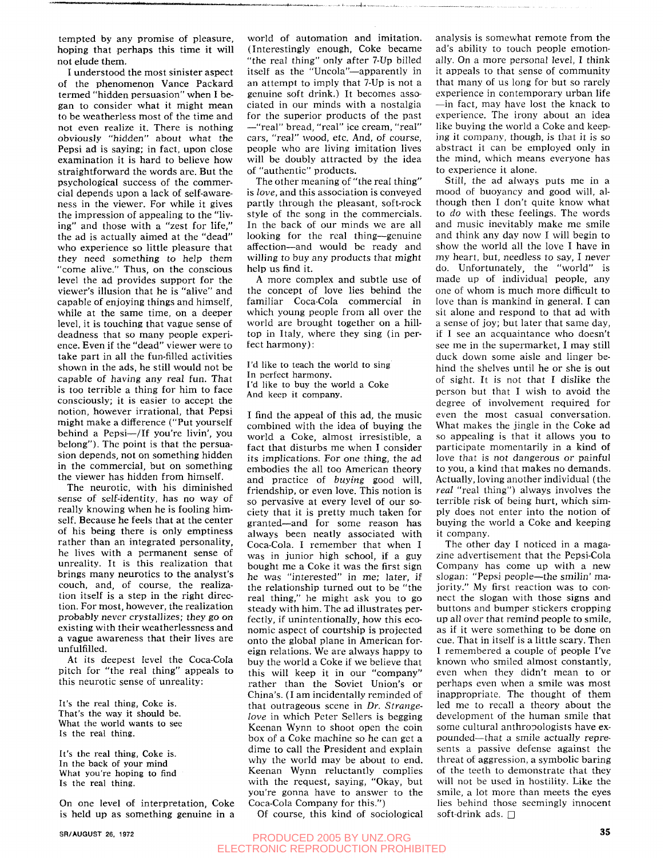tempted by any promise of pleasure, hoping that perhaps this time it will not elude them.

I understood the most sinister aspect of the phenomenon Vance Packard termed "hidden persuasion" when I began to consider what it might mean to be weatherless most of the time and not even realize it. There is nothing obviously "hidden" about what the Pepsi ad is saying; in fact, upon close examination it is hard to believe how straightforward the words are. But the psychological success of the commercial depends upon a lack of self-awareness in the viewer. For while it gives the impression of appealing to the "living" and those with a "zest for life," the ad is actually aimed at the "dead" who experience so little pleasure that they need something to help them "come alive." Thus, on the conscious level the ad provides support for the viewer's illusion that he is "alive" and capable of enjoying things and himself, while at the same time, on a deeper level, it is touching that vague sense of deadness that so many people experience. Even if the "dead" viewer were to take part in all the fun-filled activities shown in the ads, he still would not be capable of having any real fun. That is too terrible a thing for him to face consciously; it is easier to accept the notion, however irrational, that Pepsi might make a difference ("Put yourself behind a Pepsi—/If you're livin', you belong"). The point is that the persuasion depends, not on something hidden in the commercial, but on something the viewer has hidden from himself.

The neurotic, with his diminished sense of self-identity, has no way of really knowing when he is fooling himself. Because he feels that at the center of his being there is only emptiness rather than an integrated personality, he lives with a permanent sense of unreality. It is this realization that brings many neurotics to the analyst's couch, and, of course, the realization itself is a step in the right direction. For most, however, the realization probably never crystallizes; they go on existing with their weatherlessness and a vague awareness that their lives are unfulfilled.

At its deepest level the Coca-Cola pitch for "the real thing" appeals to this neurotic sense of unreality:

It's the real thing, Coke is. That's the way it should be. What the world wants to see Is the real thing.

It's the real thing. Coke is. In the back of your mind What you're hoping to find Is the real thing.

On one level of interpretation, Coke is held up as something genuine in a world of automation and imitation. (Interestingly enough. Coke became "the real thing" only after 7-Up billed itself as the "Uncola"—apparently in an attempt to imply that 7-Up is not a genuine soft drink.) It becomes associated in our minds with a nostalgia for the superior products of the past —"real" bread, "real" ice cream, "real" cars, "real" wood, etc. And, of course, people who are living imitation lives will be doubly attracted by the idea of "authentic" products.

The other meaning of "the real thing" is *love,* and this association is conveyed partly through the pleasant, soft-rock style of the song in the commercials. In the back of our minds we are all looking for the real thing—genuine affection—and would be ready and willing to buy any products that might help us find it.

A more complex and subtle use of the concept of love lies behind the familiar Coca-Cola commercial in which young people from all over the world are brought together on a hilltop in Italy, where they sing (in perfect harmony):

I'd like to teach the world to sing In perfect harmony. I'd like to buy the world a Coke And keep it company.

I find the appeal of this ad, the music combined with the idea of buying the world a Coke, almost irresistible, a fact that disturbs me when I consider its implications. For one thing, the ad embodies the all too American theory and practice of *buying* good will, friendship, or even love. This notion is so pervasive at every level of our society that it is pretty much taken for granted—and for some reason has always been neatly associated with Coca-Cola. I remember that when I was in junior high school, if a guy bought me a Coke it was the first sign he was "interested" in me; later, if the relationship turned out to be "the real thing," he might ask you to go steady with him. The ad illustrates perfectly, if unintentionally, how this economic aspect of courtship is projected onto the global plane in American foreign relations. We are always happy to buy the world a Coke if we believe that this will keep it in our "company" rather than the Soviet Union's or China's. (I am incidentally reminded of that outrageous scene in *Dr. Strangelove* in which Peter Sellers is begging Keenan Wynn to shoot open the coin box of a Coke machine so he can get a dime to call the President and explain why the world may be about to end. Keenan Wynn reluctantly complies with the request, saying, "Okay, but you're gonna have to answer to the Coca-Cola Company for this.")

Of course, this kind of sociological

analysis is somewhat remote from the ad's ability to touch people emotionally. On a more personal level, I think it appeals to that sense of community that many of us long for but so rarely experience in contemporary urban life —in fact, may have lost the knack to experience. The irony about an idea like buying the world a Coke and keeping it company, though, is that it is so abstract it can be employed only in the mind, which means everyone has to experience it alone.

Still, the ad always puts me in a mood of buoyancy and good will, although then I don't quite know what to *do* with these feelings. The words and music inevitably make me smile and think any day now I will begin to show the world all the love I have in my heart, but, needless to say, I never do. Unfortunately, the "world" is made up of individual people, any one of whom is much more difficult to love than is mankind in general. I can sit alone and respond to that ad with a sense of joy; but later that same day, if I see an acquaintance who doesn't see me in the supermarket, I may still duck down some aisle and linger behind the shelves until he or she is out of sight. It is not that I dislike the person but that I wish to avoid the degree of involvement required for even the most casual conversation. What makes the jingle in the Coke ad so appealing is that it allows you to participate momentarily in a kind of love that is not dangerous or painful to you, a kind that makes no demands. Actually, loving another individual (the *real* "real thing") always involves the terrible risk of being hurt, which simply does not enter into the notion of buying the world a Coke and keeping it company.

The other day I noticed in a magazine advertisement that the Pepsi-Cola Company has come up with a new slogan: "Pepsi people—the smilin' majority." My first reaction was to connect the slogan with those signs and buttons and bumper stickers cropping up all over that remind people to smile, as if it were something to be done on cue. That in itself is a little scary. Then I remembered a couple of people I've known who smiled almost constantly, even when they didn't mean to or perhaps even when a smile was most inappropriate. The thought of them led me to recall a theory about the development of the human smile that some cultural anthropologists have expounded—that a smile actually represents a passive defense against the threat of aggression, a symbolic baring of the teeth to demonstrate that they will not be used in hostility. Like the smile, a lot more than meets the eyes lies behind those seemingly innocent soft-drink ads.  $\square$ 

## **SR/AUGUST 26, 1972** 35 PRODUCED 2005 BY UNZ.ORG ELECTRONIC REPRODUCTION PROHIBITED